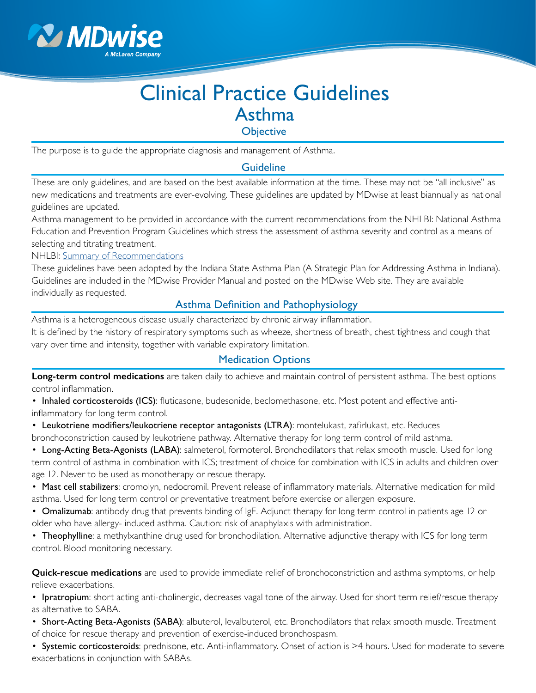

# Clinical Practice Guidelines Asthma

**Objective** 

The purpose is to guide the appropriate diagnosis and management of Asthma.

### **Guideline**

These are only guidelines, and are based on the best available information at the time. These may not be "all inclusive" as new medications and treatments are ever-evolving. These guidelines are updated by MDwise at least biannually as national guidelines are updated.

Asthma management to be provided in accordance with the current recommendations from the NHLBI: National Asthma Education and Prevention Program Guidelines which stress the assessment of asthma severity and control as a means of selecting and titrating treatment.

NHLBI: [Summary of Recommendations](https://www.nhlbi.nih.gov/node/83905)

These guidelines have been adopted by the Indiana State Asthma Plan (A Strategic Plan for Addressing Asthma in Indiana). Guidelines are included in the MDwise Provider Manual and posted on the MDwise Web site. They are available individually as requested.

# Asthma Definition and Pathophysiology

Asthma is a heterogeneous disease usually characterized by chronic airway inflammation.

It is defined by the history of respiratory symptoms such as wheeze, shortness of breath, chest tightness and cough that vary over time and intensity, together with variable expiratory limitation.

# Medication Options

**Long-term control medications** are taken daily to achieve and maintain control of persistent asthma. The best options control inflammation.

• Inhaled corticosteroids (ICS): fluticasone, budesonide, beclomethasone, etc. Most potent and effective antiinflammatory for long term control.

• Leukotriene modifiers/leukotriene receptor antagonists (LTRA): montelukast, zafirlukast, etc. Reduces bronchoconstriction caused by leukotriene pathway. Alternative therapy for long term control of mild asthma.

• Long-Acting Beta-Agonists (LABA): salmeterol, formoterol. Bronchodilators that relax smooth muscle. Used for long term control of asthma in combination with ICS; treatment of choice for combination with ICS in adults and children over age 12. Never to be used as monotherapy or rescue therapy.

• Mast cell stabilizers: cromolyn, nedocromil. Prevent release of inflammatory materials. Alternative medication for mild asthma. Used for long term control or preventative treatment before exercise or allergen exposure.

• Omalizumab: antibody drug that prevents binding of IgE. Adjunct therapy for long term control in patients age 12 or older who have allergy- induced asthma. Caution: risk of anaphylaxis with administration.

• Theophylline: a methylxanthine drug used for bronchodilation. Alternative adjunctive therapy with ICS for long term control. Blood monitoring necessary.

**Quick-rescue medications** are used to provide immediate relief of bronchoconstriction and asthma symptoms, or help relieve exacerbations.

• Ipratropium: short acting anti-cholinergic, decreases vagal tone of the airway. Used for short term relief/rescue therapy as alternative to SABA.

• Short-Acting Beta-Agonists (SABA): albuterol, levalbuterol, etc. Bronchodilators that relax smooth muscle. Treatment of choice for rescue therapy and prevention of exercise-induced bronchospasm.

• Systemic corticosteroids: prednisone, etc. Anti-inflammatory. Onset of action is >4 hours. Used for moderate to severe exacerbations in conjunction with SABAs.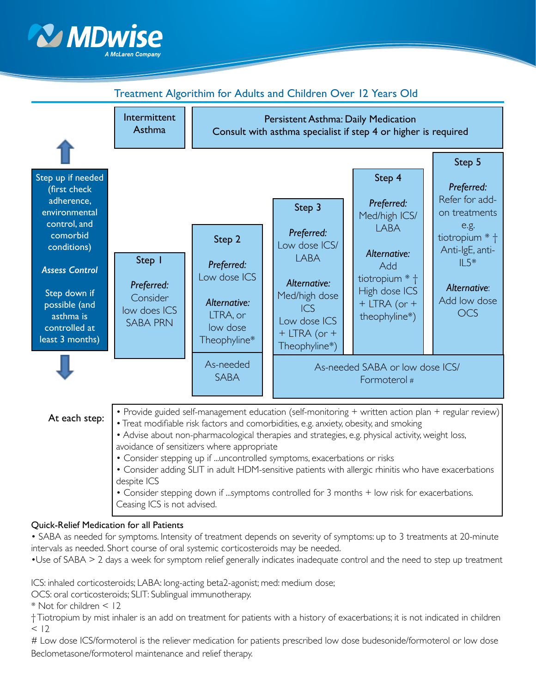



# Treatment Algorithim for Adults and Children Over 12 Years Old

#### Quick-Relief Medication for all Patients

• SABA as needed for symptoms. Intensity of treatment depends on severity of symptoms: up to 3 treatments at 20-minute intervals as needed. Short course of oral systemic corticosteroids may be needed.

•Use of SABA > 2 days a week for symptom relief generally indicates inadequate control and the need to step up treatment

ICS: inhaled corticosteroids; LABA: long-acting beta2-agonist; med: medium dose;

OCS: oral corticosteroids; SLIT: Sublingual immunotherapy.

\* Not for children < 12

† Tiotropium by mist inhaler is an add on treatment for patients with a history of exacerbations; it is not indicated in children  $< 12$ 

# Low dose ICS/formoterol is the reliever medication for patients prescribed low dose budesonide/formoterol or low dose Beclometasone/formoterol maintenance and relief therapy.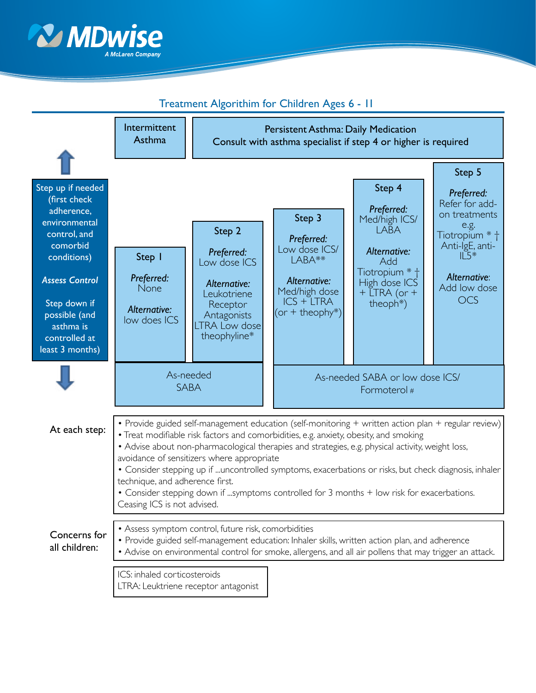



# Treatment Algorithim for Children Ages 6 - 11